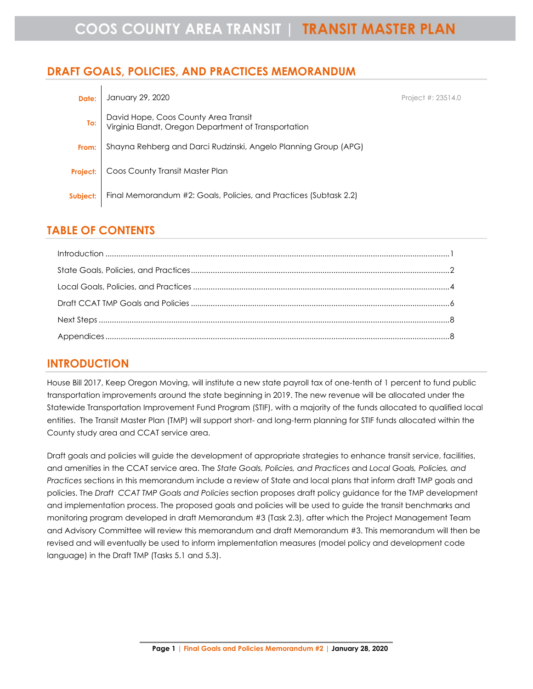# **DRAFT GOALS, POLICIES, AND PRACTICES MEMORANDUM**

| Date:           | January 29, 2020                                                                             | Project #: 23514.0 |
|-----------------|----------------------------------------------------------------------------------------------|--------------------|
| To:             | David Hope, Coos County Area Transit<br>Virginia Elandt, Oregon Department of Transportation |                    |
| From:           | Shayna Rehberg and Darci Rudzinski, Angelo Planning Group (APG)                              |                    |
| <b>Project:</b> | Coos County Transit Master Plan                                                              |                    |
| Subject:        | Final Memorandum #2: Goals, Policies, and Practices (Subtask 2.2)                            |                    |

# **TABLE OF CONTENTS**

| $\label{f:1} \mbox{Introduction} \,\, \ldots \,\, \ldots \,\, \ldots \,\, \ldots \,\, \ldots \,\, \ldots \,\, \ldots \,\, \ldots \,\, \ldots \,\, \ldots \,\, \ldots \,\, \ldots \,\, \ldots \,\, \ldots \,\, \ldots \,\, \ldots \,\, \ldots \,\, \ldots \,\, \ldots \,\, \ldots \,\, \ldots \,\, \ldots \,\, \ldots \,\, \ldots \,\, \ldots \,\, \ldots \,\, \ldots \,\, \ldots \,\, \ldots \,\, \ldots \,\, \ldots \,\, \ldots \,\, \ldots \,\, \ldots \,\,$ |  |
|----------------------------------------------------------------------------------------------------------------------------------------------------------------------------------------------------------------------------------------------------------------------------------------------------------------------------------------------------------------------------------------------------------------------------------------------------------------|--|
|                                                                                                                                                                                                                                                                                                                                                                                                                                                                |  |
|                                                                                                                                                                                                                                                                                                                                                                                                                                                                |  |
|                                                                                                                                                                                                                                                                                                                                                                                                                                                                |  |
|                                                                                                                                                                                                                                                                                                                                                                                                                                                                |  |
|                                                                                                                                                                                                                                                                                                                                                                                                                                                                |  |

# <span id="page-0-0"></span>**INTRODUCTION**

House Bill 2017, Keep Oregon Moving, will institute a new state payroll tax of one-tenth of 1 percent to fund public transportation improvements around the state beginning in 2019. The new revenue will be allocated under the Statewide Transportation Improvement Fund Program (STIF), with a majority of the funds allocated to qualified local entities. The Transit Master Plan (TMP) will support short- and long-term planning for STIF funds allocated within the County study area and CCAT service area.

Draft goals and policies will guide the development of appropriate strategies to enhance transit service, facilities, and amenities in the CCAT service area. The *State Goals, Policies, and Practices* and *Local Goals, Policies, and Practices* sections in this memorandum include a review of State and local plans that inform draft TMP goals and policies. The *Draft CCAT TMP Goals and Policies* section proposes draft policy guidance for the TMP development and implementation process. The proposed goals and policies will be used to guide the transit benchmarks and monitoring program developed in draft Memorandum #3 (Task 2.3), after which the Project Management Team and Advisory Committee will review this memorandum and draft Memorandum #3. This memorandum will then be revised and will eventually be used to inform implementation measures (model policy and development code language) in the Draft TMP (Tasks 5.1 and 5.3).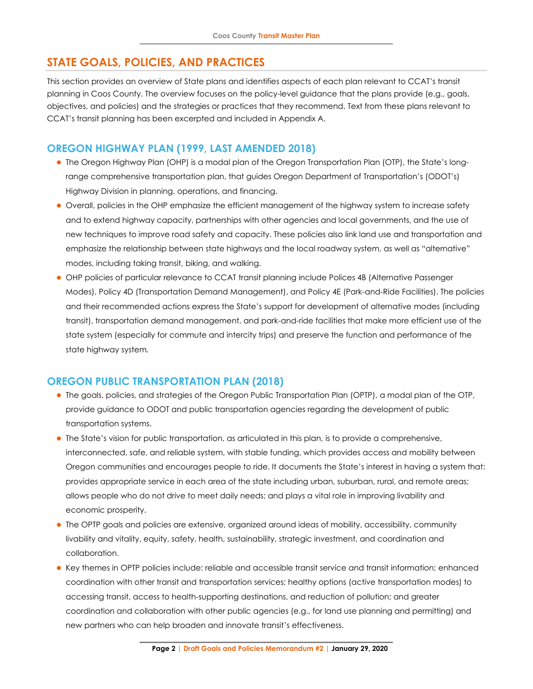# <span id="page-1-0"></span>**STATE GOALS, POLICIES, AND PRACTICES**

This section provides an overview of State plans and identifies aspects of each plan relevant to CCAT's transit planning in Coos County. The overview focuses on the policy-level guidance that the plans provide (e.g., goals, objectives, and policies) and the strategies or practices that they recommend. Text from these plans relevant to CCAT's transit planning has been excerpted and included in Appendix A.

# **OREGON HIGHWAY PLAN (1999, LAST AMENDED 2018)**

- ⚫ The Oregon Highway Plan (OHP) is a modal plan of the Oregon Transportation Plan (OTP), the State's longrange comprehensive transportation plan, that guides Oregon Department of Transportation's (ODOT's) Highway Division in planning, operations, and financing.
- ⚫ Overall, policies in the OHP emphasize the efficient management of the highway system to increase safety and to extend highway capacity, partnerships with other agencies and local governments, and the use of new techniques to improve road safety and capacity. These policies also link land use and transportation and emphasize the relationship between state highways and the local roadway system, as well as "alternative" modes, including taking transit, biking, and walking.
- ⚫ OHP policies of particular relevance to CCAT transit planning include Polices 4B (Alternative Passenger Modes), Policy 4D (Transportation Demand Management), and Policy 4E (Park-and-Ride Facilities). The policies and their recommended actions express the State's support for development of alternative modes (including transit), transportation demand management, and park-and-ride facilities that make more efficient use of the state system (especially for commute and intercity trips) and preserve the function and performance of the state highway system*.*

# **OREGON PUBLIC TRANSPORTATION PLAN (2018)**

- ⚫ The goals, policies, and strategies of the Oregon Public Transportation Plan (OPTP), a modal plan of the OTP, provide guidance to ODOT and public transportation agencies regarding the development of public transportation systems.
- ⚫ The State's vision for public transportation, as articulated in this plan, is to provide a comprehensive, interconnected, safe, and reliable system, with stable funding, which provides access and mobility between Oregon communities and encourages people to ride. It documents the State's interest in having a system that: provides appropriate service in each area of the state including urban, suburban, rural, and remote areas; allows people who do not drive to meet daily needs; and plays a vital role in improving livability and economic prosperity.
- ⚫ The OPTP goals and policies are extensive, organized around ideas of mobility, accessibility, community livability and vitality, equity, safety, health, sustainability, strategic investment, and coordination and collaboration.
- ⚫ Key themes in OPTP policies include: reliable and accessible transit service and transit information; enhanced coordination with other transit and transportation services; healthy options (active transportation modes) to accessing transit, access to health-supporting destinations, and reduction of pollution; and greater coordination and collaboration with other public agencies (e.g., for land use planning and permitting) and new partners who can help broaden and innovate transit's effectiveness.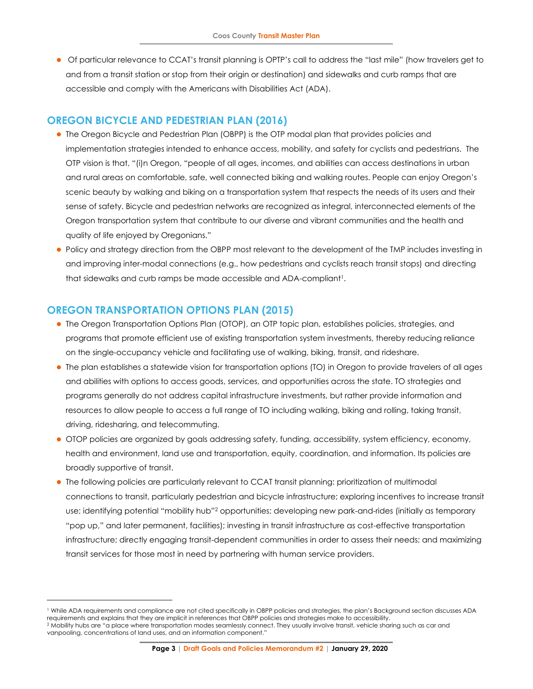⚫ Of particular relevance to CCAT's transit planning is OPTP's call to address the "last mile" (how travelers get to and from a transit station or stop from their origin or destination) and sidewalks and curb ramps that are accessible and comply with the Americans with Disabilities Act (ADA).

### **OREGON BICYCLE AND PEDESTRIAN PLAN (2016)**

- ⚫ The Oregon Bicycle and Pedestrian Plan (OBPP) is the OTP modal plan that provides policies and implementation strategies intended to enhance access, mobility, and safety for cyclists and pedestrians. The OTP vision is that, "(i)n Oregon, "people of all ages, incomes, and abilities can access destinations in urban and rural areas on comfortable, safe, well connected biking and walking routes. People can enjoy Oregon's scenic beauty by walking and biking on a transportation system that respects the needs of its users and their sense of safety. Bicycle and pedestrian networks are recognized as integral, interconnected elements of the Oregon transportation system that contribute to our diverse and vibrant communities and the health and quality of life enjoyed by Oregonians."
- ⚫ Policy and strategy direction from the OBPP most relevant to the development of the TMP includes investing in and improving inter-modal connections (e.g., how pedestrians and cyclists reach transit stops) and directing that sidewalks and curb ramps be made accessible and ADA-compliant<sup>1</sup>.

# **OREGON TRANSPORTATION OPTIONS PLAN (2015)**

- ⚫ The Oregon Transportation Options Plan (OTOP), an OTP topic plan, establishes policies, strategies, and programs that promote efficient use of existing transportation system investments, thereby reducing reliance on the single-occupancy vehicle and facilitating use of walking, biking, transit, and rideshare.
- ⚫ The plan establishes a statewide vision for transportation options (TO) in Oregon to provide travelers of all ages and abilities with options to access goods, services, and opportunities across the state. TO strategies and programs generally do not address capital infrastructure investments, but rather provide information and resources to allow people to access a full range of TO including walking, biking and rolling, taking transit, driving, ridesharing, and telecommuting.
- ⚫ OTOP policies are organized by goals addressing safety, funding, accessibility, system efficiency, economy, health and environment, land use and transportation, equity, coordination, and information. Its policies are broadly supportive of transit.
- ⚫ The following policies are particularly relevant to CCAT transit planning: prioritization of multimodal connections to transit, particularly pedestrian and bicycle infrastructure; exploring incentives to increase transit use; identifying potential "mobility hub"<sup>2</sup> opportunities; developing new park-and-rides (initially as temporary "pop up," and later permanent, facilities); investing in transit infrastructure as cost-effective transportation infrastructure; directly engaging transit-dependent communities in order to assess their needs; and maximizing transit services for those most in need by partnering with human service providers.

<sup>&</sup>lt;sup>1</sup> While ADA requirements and compliance are not cited specifically in OBPP policies and strategies, the plan's Background section discusses ADA requirements and explains that they are implicit in references that OBPP policies and strategies make to accessibility. <sup>2</sup> Mobility hubs are "a place where transportation modes seamlessly connect. They usually involve transit, vehicle sharing such as car and

vanpooling, concentrations of land uses, and an information component."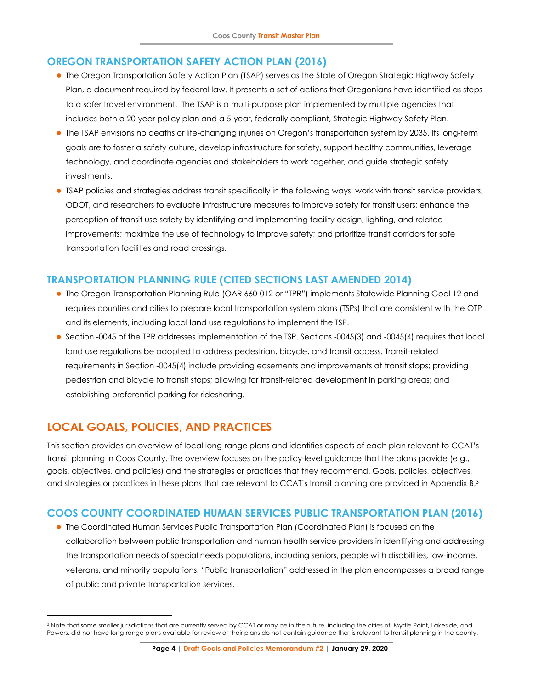# **OREGON TRANSPORTATION SAFETY ACTION PLAN (2016)**

- ⚫ The Oregon Transportation Safety Action Plan (TSAP) serves as the State of Oregon Strategic Highway Safety Plan, a document required by federal law. It presents a set of actions that Oregonians have identified as steps to a safer travel environment. The TSAP is a multi-purpose plan implemented by multiple agencies that includes both a 20-year policy plan and a 5-year, federally compliant, Strategic Highway Safety Plan.
- ⚫ The TSAP envisions no deaths or life-changing injuries on Oregon's transportation system by 2035. Its long-term goals are to foster a safety culture, develop infrastructure for safety, support healthy communities, leverage technology, and coordinate agencies and stakeholders to work together, and guide strategic safety investments.
- ⚫ TSAP policies and strategies address transit specifically in the following ways: work with transit service providers, ODOT, and researchers to evaluate infrastructure measures to improve safety for transit users; enhance the perception of transit use safety by identifying and implementing facility design, lighting, and related improvements; maximize the use of technology to improve safety; and prioritize transit corridors for safe transportation facilities and road crossings.

# **TRANSPORTATION PLANNING RULE (CITED SECTIONS LAST AMENDED 2014)**

- ⚫ The Oregon Transportation Planning Rule (OAR 660-012 or "TPR") implements Statewide Planning Goal 12 and requires counties and cities to prepare local transportation system plans (TSPs) that are consistent with the OTP and its elements, including local land use regulations to implement the TSP.
- ⚫ Section -0045 of the TPR addresses implementation of the TSP. Sections -0045(3) and -0045(4) requires that local land use regulations be adopted to address pedestrian, bicycle, and transit access. Transit-related requirements in Section -0045(4) include providing easements and improvements at transit stops; providing pedestrian and bicycle to transit stops; allowing for transit-related development in parking areas; and establishing preferential parking for ridesharing.

# <span id="page-3-0"></span>**LOCAL GOALS, POLICIES, AND PRACTICES**

This section provides an overview of local long-range plans and identifies aspects of each plan relevant to CCAT's transit planning in Coos County. The overview focuses on the policy-level guidance that the plans provide (e.g., goals, objectives, and policies) and the strategies or practices that they recommend. Goals, policies, objectives, and strategies or practices in these plans that are relevant to CCAT's transit planning are provided in Appendix B. 3

# **COOS COUNTY COORDINATED HUMAN SERVICES PUBLIC TRANSPORTATION PLAN (2016)**

⚫ The Coordinated Human Services Public Transportation Plan (Coordinated Plan) is focused on the collaboration between public transportation and human health service providers in identifying and addressing the transportation needs of special needs populations, including seniors, people with disabilities, low-income, veterans, and minority populations. "Public transportation" addressed in the plan encompasses a broad range of public and private transportation services.

<sup>3</sup> Note that some smaller jurisdictions that are currently served by CCAT or may be in the future, including the cities of Myrtle Point, Lakeside, and Powers, did not have long-range plans available for review or their plans do not contain guidance that is relevant to transit planning in the county.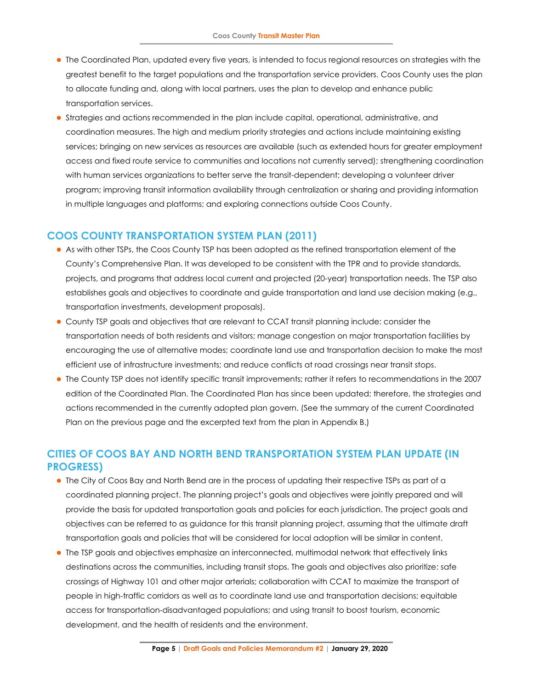- ⚫ The Coordinated Plan, updated every five years, is intended to focus regional resources on strategies with the greatest benefit to the target populations and the transportation service providers. Coos County uses the plan to allocate funding and, along with local partners, uses the plan to develop and enhance public transportation services.
- ⚫ Strategies and actions recommended in the plan include capital, operational, administrative, and coordination measures. The high and medium priority strategies and actions include maintaining existing services; bringing on new services as resources are available (such as extended hours for greater employment access and fixed route service to communities and locations not currently served); strengthening coordination with human services organizations to better serve the transit-dependent; developing a volunteer driver program; improving transit information availability through centralization or sharing and providing information in multiple languages and platforms; and exploring connections outside Coos County.

### **COOS COUNTY TRANSPORTATION SYSTEM PLAN (2011)**

- ⚫ As with other TSPs, the Coos County TSP has been adopted as the refined transportation element of the County's Comprehensive Plan. It was developed to be consistent with the TPR and to provide standards, projects, and programs that address local current and projected (20-year) transportation needs. The TSP also establishes goals and objectives to coordinate and guide transportation and land use decision making (e.g., transportation investments, development proposals).
- ⚫ County TSP goals and objectives that are relevant to CCAT transit planning include: consider the transportation needs of both residents and visitors; manage congestion on major transportation facilities by encouraging the use of alternative modes; coordinate land use and transportation decision to make the most efficient use of infrastructure investments; and reduce conflicts at road crossings near transit stops.
- ⚫ The County TSP does not identify specific transit improvements; rather it refers to recommendations in the 2007 edition of the Coordinated Plan. The Coordinated Plan has since been updated; therefore, the strategies and actions recommended in the currently adopted plan govern. (See the summary of the current Coordinated Plan on the previous page and the excerpted text from the plan in Appendix B.)

# **CITIES OF COOS BAY AND NORTH BEND TRANSPORTATION SYSTEM PLAN UPDATE (IN PROGRESS)**

- ⚫ The City of Coos Bay and North Bend are in the process of updating their respective TSPs as part of a coordinated planning project. The planning project's goals and objectives were jointly prepared and will provide the basis for updated transportation goals and policies for each jurisdiction. The project goals and objectives can be referred to as guidance for this transit planning project, assuming that the ultimate draft transportation goals and policies that will be considered for local adoption will be similar in content.
- ⚫ The TSP goals and objectives emphasize an interconnected, multimodal network that effectively links destinations across the communities, including transit stops. The goals and objectives also prioritize: safe crossings of Highway 101 and other major arterials; collaboration with CCAT to maximize the transport of people in high-traffic corridors as well as to coordinate land use and transportation decisions; equitable access for transportation-disadvantaged populations; and using transit to boost tourism, economic development, and the health of residents and the environment.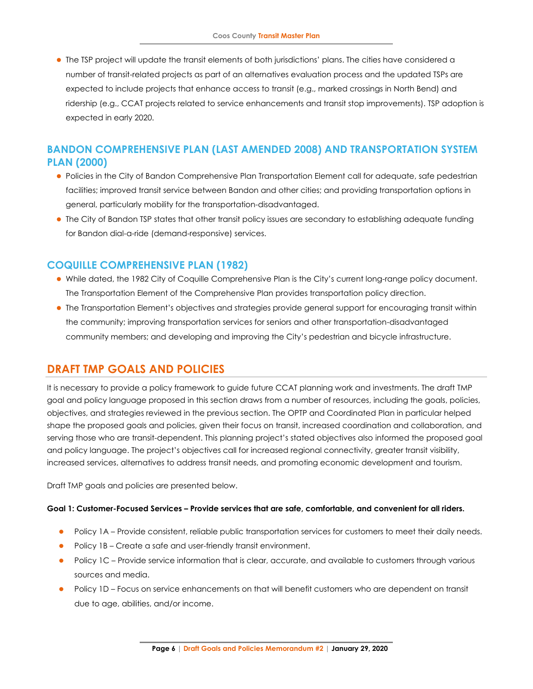⚫ The TSP project will update the transit elements of both jurisdictions' plans. The cities have considered a number of transit-related projects as part of an alternatives evaluation process and the updated TSPs are expected to include projects that enhance access to transit (e.g., marked crossings in North Bend) and ridership (e.g., CCAT projects related to service enhancements and transit stop improvements). TSP adoption is expected in early 2020.

# **BANDON COMPREHENSIVE PLAN (LAST AMENDED 2008) AND TRANSPORTATION SYSTEM PLAN (2000)**

- ⚫ Policies in the City of Bandon Comprehensive Plan Transportation Element call for adequate, safe pedestrian facilities; improved transit service between Bandon and other cities; and providing transportation options in general, particularly mobility for the transportation-disadvantaged.
- ⚫ The City of Bandon TSP states that other transit policy issues are secondary to establishing adequate funding for Bandon dial-a-ride (demand-responsive) services.

# **COQUILLE COMPREHENSIVE PLAN (1982)**

- ⚫ While dated, the 1982 City of Coquille Comprehensive Plan is the City's current long-range policy document. The Transportation Element of the Comprehensive Plan provides transportation policy direction.
- ⚫ The Transportation Element's objectives and strategies provide general support for encouraging transit within the community; improving transportation services for seniors and other transportation-disadvantaged community members; and developing and improving the City's pedestrian and bicycle infrastructure.

# <span id="page-5-0"></span>**DRAFT TMP GOALS AND POLICIES**

It is necessary to provide a policy framework to guide future CCAT planning work and investments. The draft TMP goal and policy language proposed in this section draws from a number of resources, including the goals, policies, objectives, and strategies reviewed in the previous section. The OPTP and Coordinated Plan in particular helped shape the proposed goals and policies, given their focus on transit, increased coordination and collaboration, and serving those who are transit-dependent. This planning project's stated objectives also informed the proposed goal and policy language. The project's objectives call for increased regional connectivity, greater transit visibility, increased services, alternatives to address transit needs, and promoting economic development and tourism.

Draft TMP goals and policies are presented below.

#### **Goal 1: Customer-Focused Services – Provide services that are safe, comfortable, and convenient for all riders.**

- Policy 1A Provide consistent, reliable public transportation services for customers to meet their daily needs.
- Policy 1B Create a safe and user-friendly transit environment.
- ⚫ Policy 1C Provide service information that is clear, accurate, and available to customers through various sources and media.
- Policy 1D Focus on service enhancements on that will benefit customers who are dependent on transit due to age, abilities, and/or income.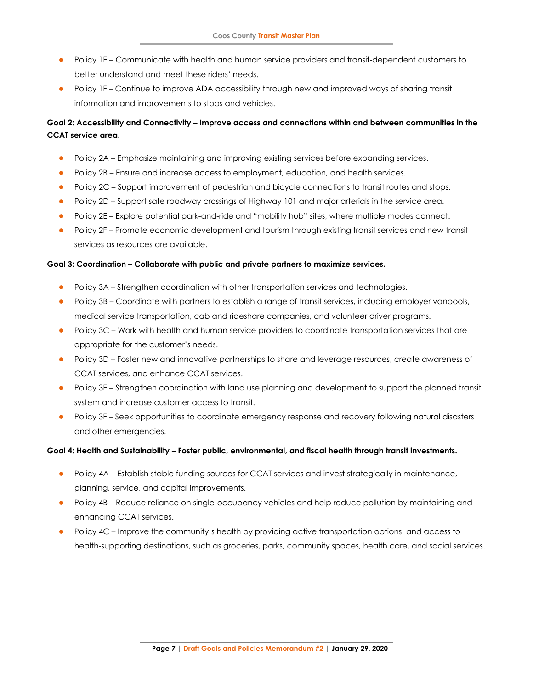- Policy 1E Communicate with health and human service providers and transit-dependent customers to better understand and meet these riders' needs.
- Policy 1F Continue to improve ADA accessibility through new and improved ways of sharing transit information and improvements to stops and vehicles.

## **Goal 2: Accessibility and Connectivity – Improve access and connections within and between communities in the CCAT service area.**

- Policy 2A Emphasize maintaining and improving existing services before expanding services.
- Policy 2B Ensure and increase access to employment, education, and health services.
- Policy 2C Support improvement of pedestrian and bicycle connections to transit routes and stops.
- Policy 2D Support safe roadway crossings of Highway 101 and major arterials in the service area.
- ⚫ Policy 2E Explore potential park-and-ride and "mobility hub" sites, where multiple modes connect.
- Policy 2F Promote economic development and tourism through existing transit services and new transit services as resources are available.

#### **Goal 3: Coordination – Collaborate with public and private partners to maximize services.**

- ⚫ Policy 3A Strengthen coordination with other transportation services and technologies.
- Policy 3B Coordinate with partners to establish a range of transit services, including employer vanpools, medical service transportation, cab and rideshare companies, and volunteer driver programs.
- Policy 3C Work with health and human service providers to coordinate transportation services that are appropriate for the customer's needs.
- Policy 3D Foster new and innovative partnerships to share and leverage resources, create awareness of CCAT services, and enhance CCAT services.
- Policy 3E Strengthen coordination with land use planning and development to support the planned transit system and increase customer access to transit.
- Policy 3F Seek opportunities to coordinate emergency response and recovery following natural disasters and other emergencies.

#### **Goal 4: Health and Sustainability – Foster public, environmental, and fiscal health through transit investments.**

- Policy 4A Establish stable funding sources for CCAT services and invest strategically in maintenance, planning, service, and capital improvements.
- ⚫ Policy 4B Reduce reliance on single-occupancy vehicles and help reduce pollution by maintaining and enhancing CCAT services.
- Policy 4C Improve the community's health by providing active transportation options and access to health-supporting destinations, such as groceries, parks, community spaces, health care, and social services.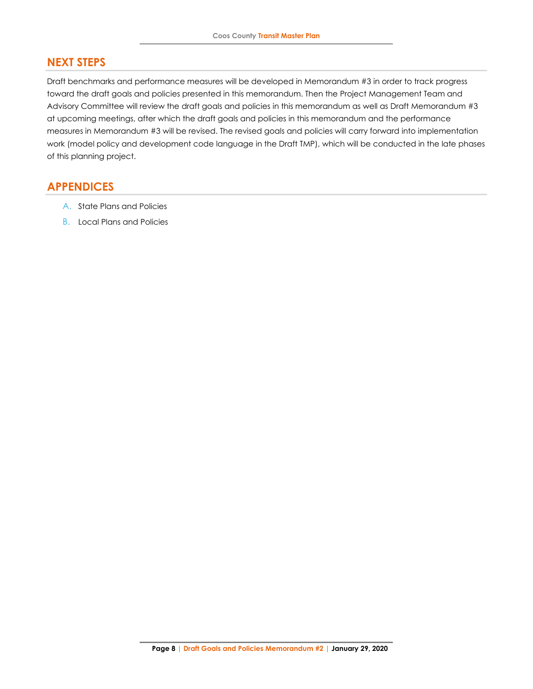# <span id="page-7-0"></span>**NEXT STEPS**

Draft benchmarks and performance measures will be developed in Memorandum #3 in order to track progress toward the draft goals and policies presented in this memorandum. Then the Project Management Team and Advisory Committee will review the draft goals and policies in this memorandum as well as Draft Memorandum #3 at upcoming meetings, after which the draft goals and policies in this memorandum and the performance measures in Memorandum #3 will be revised. The revised goals and policies will carry forward into implementation work (model policy and development code language in the Draft TMP), which will be conducted in the late phases of this planning project.

# <span id="page-7-1"></span>**APPENDICES**

- A. State Plans and Policies
- B. Local Plans and Policies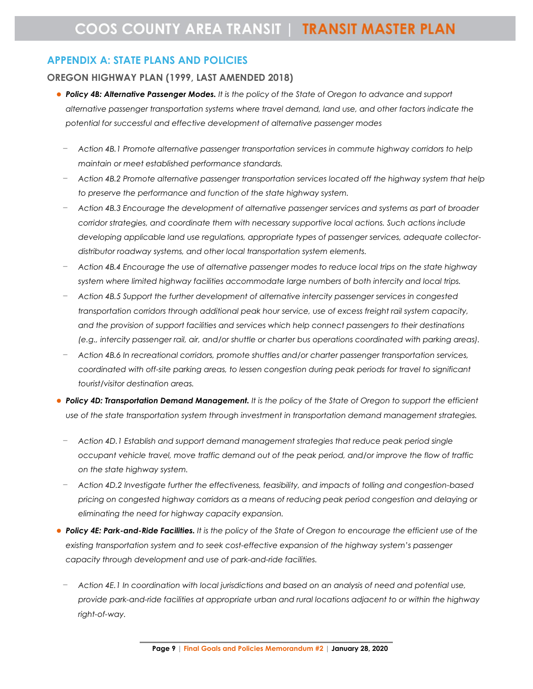# **APPENDIX A: STATE PLANS AND POLICIES**

### **OREGON HIGHWAY PLAN (1999, LAST AMENDED 2018)**

- ⚫ *Policy 4B: Alternative Passenger Modes. It is the policy of the State of Oregon to advance and support alternative passenger transportation systems where travel demand, land use, and other factors indicate the potential for successful and effective development of alternative passenger modes* 
	- − *Action 4B.1 Promote alternative passenger transportation services in commute highway corridors to help maintain or meet established performance standards.*
	- − *Action 4B.2 Promote alternative passenger transportation services located off the highway system that help to preserve the performance and function of the state highway system.*
	- − *Action 4B.3 Encourage the development of alternative passenger services and systems as part of broader corridor strategies, and coordinate them with necessary supportive local actions. Such actions include developing applicable land use regulations, appropriate types of passenger services, adequate collectordistributor roadway systems, and other local transportation system elements.*
	- − *Action 4B.4 Encourage the use of alternative passenger modes to reduce local trips on the state highway system where limited highway facilities accommodate large numbers of both intercity and local trips.*
	- − *Action 4B.5 Support the further development of alternative intercity passenger services in congested transportation corridors through additional peak hour service, use of excess freight rail system capacity, and the provision of support facilities and services which help connect passengers to their destinations (e.g., intercity passenger rail, air, and/or shuttle or charter bus operations coordinated with parking areas).*
	- − *Action 4B.6 In recreational corridors, promote shuttles and/or charter passenger transportation services, coordinated with off-site parking areas, to lessen congestion during peak periods for travel to significant tourist/visitor destination areas.*
- ⚫ *Policy 4D: Transportation Demand Management. It is the policy of the State of Oregon to support the efficient use of the state transportation system through investment in transportation demand management strategies.*
- − *Action 4D.1 Establish and support demand management strategies that reduce peak period single occupant vehicle travel, move traffic demand out of the peak period, and/or improve the flow of traffic on the state highway system.*
- − *Action 4D.2 Investigate further the effectiveness, feasibility, and impacts of tolling and congestion-based pricing on congested highway corridors as a means of reducing peak period congestion and delaying or eliminating the need for highway capacity expansion.*
- ⚫ *Policy 4E: Park-and-Ride Facilities. It is the policy of the State of Oregon to encourage the efficient use of the existing transportation system and to seek cost-effective expansion of the highway system's passenger capacity through development and use of park-and-ride facilities.*
- − *Action 4E.1 In coordination with local jurisdictions and based on an analysis of need and potential use, provide park-and-ride facilities at appropriate urban and rural locations adjacent to or within the highway right-of-way.*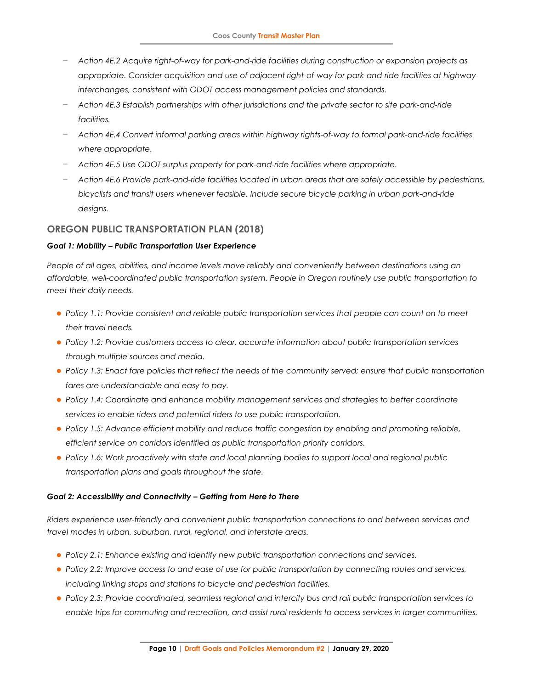- − *Action 4E.2 Acquire right-of-way for park-and-ride facilities during construction or expansion projects as appropriate. Consider acquisition and use of adjacent right-of-way for park-and-ride facilities at highway interchanges, consistent with ODOT access management policies and standards.*
- − *Action 4E.3 Establish partnerships with other jurisdictions and the private sector to site park-and-ride facilities.*
- − *Action 4E.4 Convert informal parking areas within highway rights-of-way to formal park-and-ride facilities where appropriate.*
- − *Action 4E.5 Use ODOT surplus property for park-and-ride facilities where appropriate.*
- − *Action 4E.6 Provide park-and-ride facilities located in urban areas that are safely accessible by pedestrians, bicyclists and transit users whenever feasible. Include secure bicycle parking in urban park-and-ride designs.*

## **OREGON PUBLIC TRANSPORTATION PLAN (2018)**

### *Goal 1: Mobility – Public Transportation User Experience*

*People of all ages, abilities, and income levels move reliably and conveniently between destinations using an affordable, well-coordinated public transportation system. People in Oregon routinely use public transportation to meet their daily needs.* 

- *Policy 1.1: Provide consistent and reliable public transportation services that people can count on to meet their travel needs.*
- ⚫ *Policy 1.2: Provide customers access to clear, accurate information about public transportation services through multiple sources and media.*
- ⚫ *Policy 1.3: Enact fare policies that reflect the needs of the community served; ensure that public transportation fares are understandable and easy to pay.*
- ⚫ *Policy 1.4: Coordinate and enhance mobility management services and strategies to better coordinate services to enable riders and potential riders to use public transportation.*
- ⚫ *Policy 1.5: Advance efficient mobility and reduce traffic congestion by enabling and promoting reliable, efficient service on corridors identified as public transportation priority corridors.*
- ⚫ *Policy 1.6: Work proactively with state and local planning bodies to support local and regional public transportation plans and goals throughout the state.*

### *Goal 2: Accessibility and Connectivity – Getting from Here to There*

*Riders experience user-friendly and convenient public transportation connections to and between services and travel modes in urban, suburban, rural, regional, and interstate areas.* 

- ⚫ *Policy 2.1: Enhance existing and identify new public transportation connections and services.*
- ⚫ *Policy 2.2: Improve access to and ease of use for public transportation by connecting routes and services, including linking stops and stations to bicycle and pedestrian facilities.*
- ⚫ *Policy 2.3: Provide coordinated, seamless regional and intercity bus and rail public transportation services to enable trips for commuting and recreation, and assist rural residents to access services in larger communities.*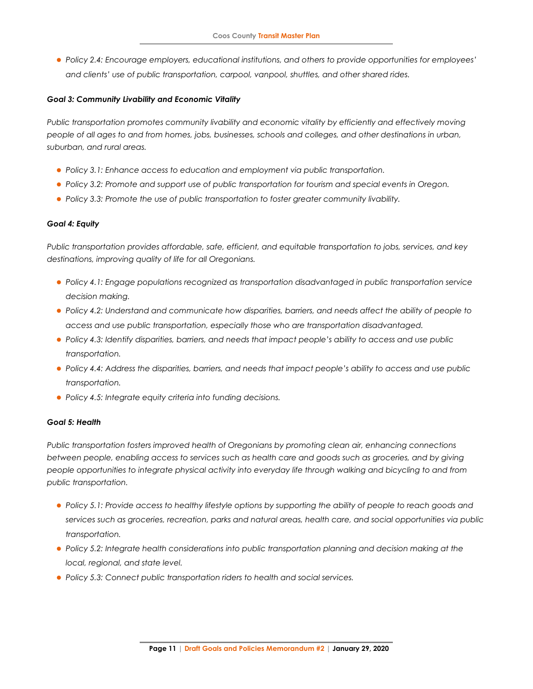⚫ *Policy 2.4: Encourage employers, educational institutions, and others to provide opportunities for employees' and clients' use of public transportation, carpool, vanpool, shuttles, and other shared rides.* 

#### *Goal 3: Community Livability and Economic Vitality*

*Public transportation promotes community livability and economic vitality by efficiently and effectively moving people of all ages to and from homes, jobs, businesses, schools and colleges, and other destinations in urban, suburban, and rural areas.* 

- ⚫ *Policy 3.1: Enhance access to education and employment via public transportation.*
- ⚫ *Policy 3.2: Promote and support use of public transportation for tourism and special events in Oregon.*
- ⚫ *Policy 3.3: Promote the use of public transportation to foster greater community livability.*

#### *Goal 4: Equity*

*Public transportation provides affordable, safe, efficient, and equitable transportation to jobs, services, and key destinations, improving quality of life for all Oregonians.* 

- ⚫ *Policy 4.1: Engage populations recognized as transportation disadvantaged in public transportation service decision making.*
- ⚫ *Policy 4.2: Understand and communicate how disparities, barriers, and needs affect the ability of people to access and use public transportation, especially those who are transportation disadvantaged.*
- ⚫ *Policy 4.3: Identify disparities, barriers, and needs that impact people's ability to access and use public transportation.*
- ⚫ *Policy 4.4: Address the disparities, barriers, and needs that impact people's ability to access and use public transportation.*
- ⚫ *Policy 4.5: Integrate equity criteria into funding decisions.*

#### *Goal 5: Health*

*Public transportation fosters improved health of Oregonians by promoting clean air, enhancing connections between people, enabling access to services such as health care and goods such as groceries, and by giving people opportunities to integrate physical activity into everyday life through walking and bicycling to and from public transportation.* 

- ⚫ *Policy 5.1: Provide access to healthy lifestyle options by supporting the ability of people to reach goods and services such as groceries, recreation, parks and natural areas, health care, and social opportunities via public transportation.*
- ⚫ *Policy 5.2: Integrate health considerations into public transportation planning and decision making at the local, regional, and state level.*
- ⚫ *Policy 5.3: Connect public transportation riders to health and social services.*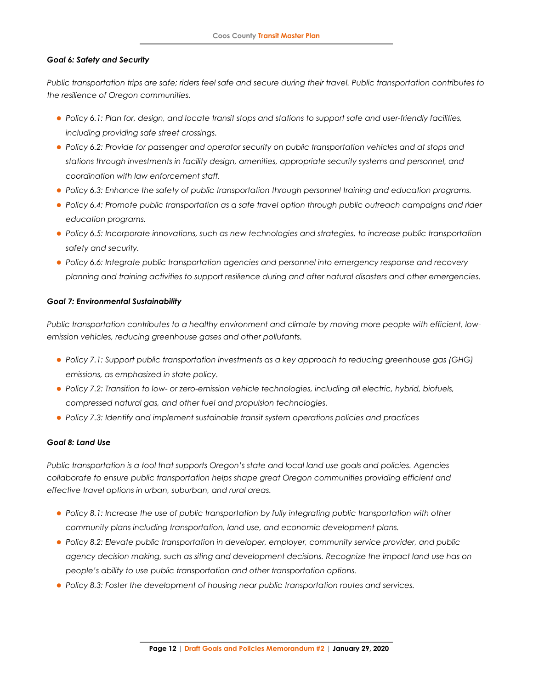#### *Goal 6: Safety and Security*

*Public transportation trips are safe; riders feel safe and secure during their travel. Public transportation contributes to the resilience of Oregon communities.* 

- ⚫ *Policy 6.1: Plan for, design, and locate transit stops and stations to support safe and user-friendly facilities, including providing safe street crossings.*
- ⚫ *Policy 6.2: Provide for passenger and operator security on public transportation vehicles and at stops and stations through investments in facility design, amenities, appropriate security systems and personnel, and coordination with law enforcement staff.*
- ⚫ *Policy 6.3: Enhance the safety of public transportation through personnel training and education programs.*
- ⚫ *Policy 6.4: Promote public transportation as a safe travel option through public outreach campaigns and rider education programs.*
- ⚫ *Policy 6.5: Incorporate innovations, such as new technologies and strategies, to increase public transportation safety and security.*
- ⚫ *Policy 6.6: Integrate public transportation agencies and personnel into emergency response and recovery planning and training activities to support resilience during and after natural disasters and other emergencies.*

#### *Goal 7: Environmental Sustainability*

*Public transportation contributes to a healthy environment and climate by moving more people with efficient, lowemission vehicles, reducing greenhouse gases and other pollutants.* 

- ⚫ *Policy 7.1: Support public transportation investments as a key approach to reducing greenhouse gas (GHG) emissions, as emphasized in state policy.*
- ⚫ *Policy 7.2: Transition to low- or zero-emission vehicle technologies, including all electric, hybrid, biofuels, compressed natural gas, and other fuel and propulsion technologies.*
- *Policy 7.3: Identify and implement sustainable transit system operations policies and practices*

#### *Goal 8: Land Use*

*Public transportation is a tool that supports Oregon's state and local land use goals and policies. Agencies collaborate to ensure public transportation helps shape great Oregon communities providing efficient and effective travel options in urban, suburban, and rural areas.* 

- ⚫ *Policy 8.1: Increase the use of public transportation by fully integrating public transportation with other community plans including transportation, land use, and economic development plans.*
- ⚫ *Policy 8.2: Elevate public transportation in developer, employer, community service provider, and public agency decision making, such as siting and development decisions. Recognize the impact land use has on people's ability to use public transportation and other transportation options.*
- ⚫ *Policy 8.3: Foster the development of housing near public transportation routes and services.*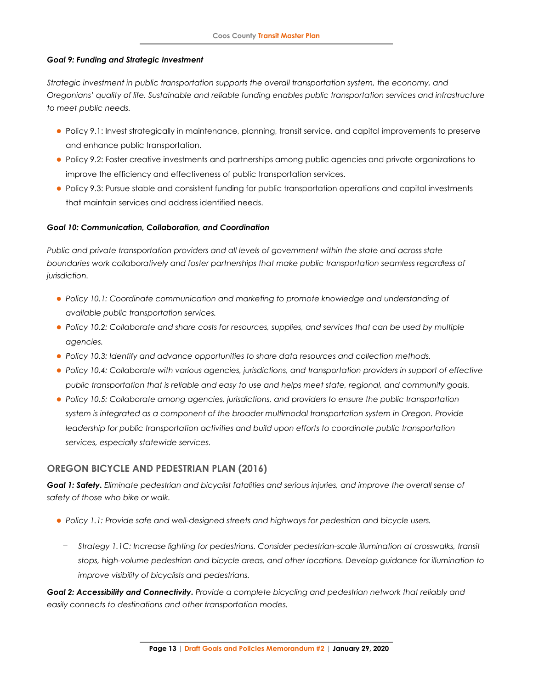#### *Goal 9: Funding and Strategic Investment*

*Strategic investment in public transportation supports the overall transportation system, the economy, and Oregonians' quality of life. Sustainable and reliable funding enables public transportation services and infrastructure to meet public needs.* 

- ⚫ Policy 9.1: Invest strategically in maintenance, planning, transit service, and capital improvements to preserve and enhance public transportation.
- ⚫ Policy 9.2: Foster creative investments and partnerships among public agencies and private organizations to improve the efficiency and effectiveness of public transportation services.
- ⚫ Policy 9.3: Pursue stable and consistent funding for public transportation operations and capital investments that maintain services and address identified needs.

### *Goal 10: Communication, Collaboration, and Coordination*

*Public and private transportation providers and all levels of government within the state and across state boundaries work collaboratively and foster partnerships that make public transportation seamless regardless of jurisdiction.* 

- Policy 10.1: Coordinate communication and marketing to promote knowledge and understanding of *available public transportation services.*
- ⚫ *Policy 10.2: Collaborate and share costs for resources, supplies, and services that can be used by multiple agencies.*
- ⚫ *Policy 10.3: Identify and advance opportunities to share data resources and collection methods.*
- ⚫ *Policy 10.4: Collaborate with various agencies, jurisdictions, and transportation providers in support of effective public transportation that is reliable and easy to use and helps meet state, regional, and community goals.*
- ⚫ *Policy 10.5: Collaborate among agencies, jurisdictions, and providers to ensure the public transportation system is integrated as a component of the broader multimodal transportation system in Oregon. Provide*  leadership for public transportation activities and build upon efforts to coordinate public transportation *services, especially statewide services.*

### **OREGON BICYCLE AND PEDESTRIAN PLAN (2016)**

*Goal 1: Safety. Eliminate pedestrian and bicyclist fatalities and serious injuries, and improve the overall sense of safety of those who bike or walk.*

- ⚫ *Policy 1.1: Provide safe and well-designed streets and highways for pedestrian and bicycle users.* 
	- − *Strategy 1.1C: Increase lighting for pedestrians. Consider pedestrian-scale illumination at crosswalks, transit stops, high-volume pedestrian and bicycle areas, and other locations. Develop guidance for illumination to improve visibility of bicyclists and pedestrians.*

*Goal 2: Accessibility and Connectivity. Provide a complete bicycling and pedestrian network that reliably and easily connects to destinations and other transportation modes.*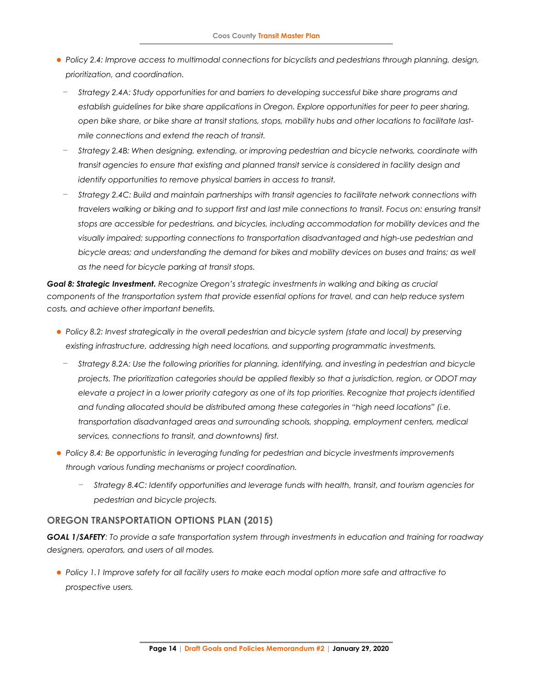- *Policy 2.4: Improve access to multimodal connections for bicyclists and pedestrians through planning, design, prioritization, and coordination.* 
	- − *Strategy 2.4A: Study opportunities for and barriers to developing successful bike share programs and establish guidelines for bike share applications in Oregon. Explore opportunities for peer to peer sharing, open bike share, or bike share at transit stations, stops, mobility hubs and other locations to facilitate lastmile connections and extend the reach of transit.*
	- − *Strategy 2.4B: When designing, extending, or improving pedestrian and bicycle networks, coordinate with transit agencies to ensure that existing and planned transit service is considered in facility design and identify opportunities to remove physical barriers in access to transit.*
	- − *Strategy 2.4C: Build and maintain partnerships with transit agencies to facilitate network connections with travelers walking or biking and to support first and last mile connections to transit. Focus on: ensuring transit stops are accessible for pedestrians, and bicycles, including accommodation for mobility devices and the visually impaired; supporting connections to transportation disadvantaged and high-use pedestrian and*  bicycle areas; and understanding the demand for bikes and mobility devices on buses and trains; as well *as the need for bicycle parking at transit stops.*

*Goal 8: Strategic Investment. Recognize Oregon's strategic investments in walking and biking as crucial components of the transportation system that provide essential options for travel, and can help reduce system costs, and achieve other important benefits.*

- ⚫ *Policy 8.2: Invest strategically in the overall pedestrian and bicycle system (state and local) by preserving existing infrastructure, addressing high need locations, and supporting programmatic investments.* 
	- − *Strategy 8.2A: Use the following priorities for planning, identifying, and investing in pedestrian and bicycle projects. The prioritization categories should be applied flexibly so that a jurisdiction, region, or ODOT may elevate a project in a lower priority category as one of its top priorities. Recognize that projects identified and funding allocated should be distributed among these categories in "high need locations" (i.e. transportation disadvantaged areas and surrounding schools, shopping, employment centers, medical services, connections to transit, and downtowns) first.*
- ⚫ *Policy 8.4: Be opportunistic in leveraging funding for pedestrian and bicycle investments improvements through various funding mechanisms or project coordination.* 
	- − *Strategy 8.4C: Identify opportunities and leverage funds with health, transit, and tourism agencies for pedestrian and bicycle projects.*

### **OREGON TRANSPORTATION OPTIONS PLAN (2015)**

*GOAL 1/SAFETY: To provide a safe transportation system through investments in education and training for roadway designers, operators, and users of all modes.*

⚫ *Policy 1.1 Improve safety for all facility users to make each modal option more safe and attractive to prospective users.*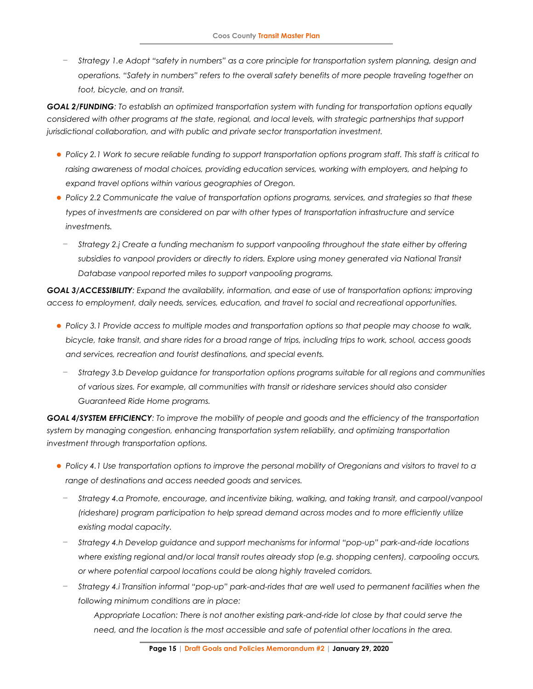− *Strategy 1.e Adopt "safety in numbers" as a core principle for transportation system planning, design and operations. "Safety in numbers" refers to the overall safety benefits of more people traveling together on foot, bicycle, and on transit.*

*GOAL 2/FUNDING: To establish an optimized transportation system with funding for transportation options equally considered with other programs at the state, regional, and local levels, with strategic partnerships that support jurisdictional collaboration, and with public and private sector transportation investment.*

- ⚫ *Policy 2.1 Work to secure reliable funding to support transportation options program staff. This staff is critical to raising awareness of modal choices, providing education services, working with employers, and helping to expand travel options within various geographies of Oregon.*
- ⚫ *Policy 2.2 Communicate the value of transportation options programs, services, and strategies so that these types of investments are considered on par with other types of transportation infrastructure and service investments.*
	- − *Strategy 2.j Create a funding mechanism to support vanpooling throughout the state either by offering*  subsidies to vanpool providers or directly to riders. Explore using money generated via National Transit *Database vanpool reported miles to support vanpooling programs.*

*GOAL 3/ACCESSIBILITY: Expand the availability, information, and ease of use of transportation options; improving access to employment, daily needs, services, education, and travel to social and recreational opportunities.*

- ⚫ *Policy 3.1 Provide access to multiple modes and transportation options so that people may choose to walk, bicycle, take transit, and share rides for a broad range of trips, including trips to work, school, access goods and services, recreation and tourist destinations, and special events.*
	- − *Strategy 3.b Develop guidance for transportation options programs suitable for all regions and communities of various sizes. For example, all communities with transit or rideshare services should also consider Guaranteed Ride Home programs.*

*GOAL 4/SYSTEM EFFICIENCY: To improve the mobility of people and goods and the efficiency of the transportation system by managing congestion, enhancing transportation system reliability, and optimizing transportation investment through transportation options.*

- ⚫ *Policy 4.1 Use transportation options to improve the personal mobility of Oregonians and visitors to travel to a range of destinations and access needed goods and services.* 
	- − *Strategy 4.a Promote, encourage, and incentivize biking, walking, and taking transit, and carpool/vanpool (rideshare) program participation to help spread demand across modes and to more efficiently utilize existing modal capacity.*
	- − *Strategy 4.h Develop guidance and support mechanisms for informal "pop-up" park-and-ride locations where existing regional and/or local transit routes already stop (e.g. shopping centers), carpooling occurs, or where potential carpool locations could be along highly traveled corridors.*
	- − *Strategy 4.i Transition informal "pop-up" park-and-rides that are well used to permanent facilities when the following minimum conditions are in place:*

*Appropriate Location: There is not another existing park-and-ride lot close by that could serve the need, and the location is the most accessible and safe of potential other locations in the area.*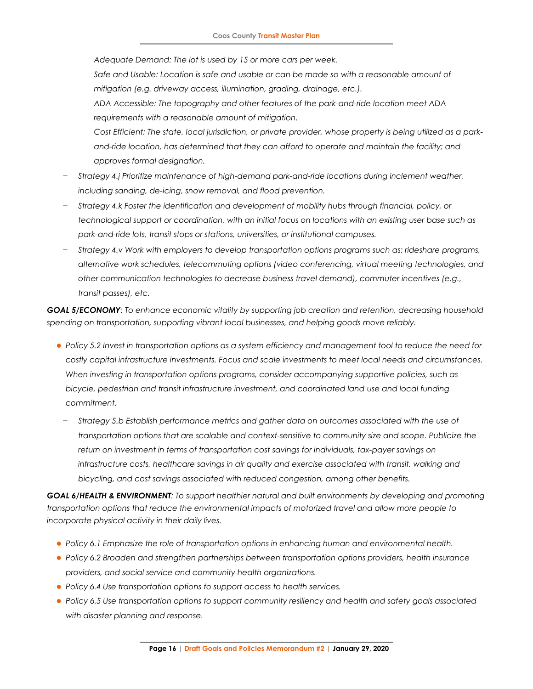*Adequate Demand: The lot is used by 15 or more cars per week.* 

Safe and Usable: Location is safe and usable or can be made so with a reasonable amount of *mitigation (e.g. driveway access, illumination, grading, drainage, etc.).* 

*ADA Accessible: The topography and other features of the park-and-ride location meet ADA requirements with a reasonable amount of mitigation.* 

*Cost Efficient: The state, local jurisdiction, or private provider, whose property is being utilized as a parkand-ride location, has determined that they can afford to operate and maintain the facility; and approves formal designation.* 

- − *Strategy 4.j Prioritize maintenance of high-demand park-and-ride locations during inclement weather, including sanding, de-icing, snow removal, and flood prevention.*
- − *Strategy 4.k Foster the identification and development of mobility hubs through financial, policy, or technological support or coordination, with an initial focus on locations with an existing user base such as park-and-ride lots, transit stops or stations, universities, or institutional campuses.*
- − *Strategy 4.v Work with employers to develop transportation options programs such as: rideshare programs, alternative work schedules, telecommuting options (video conferencing, virtual meeting technologies, and other communication technologies to decrease business travel demand), commuter incentives (e.g., transit passes), etc.*

*GOAL 5/ECONOMY: To enhance economic vitality by supporting job creation and retention, decreasing household spending on transportation, supporting vibrant local businesses, and helping goods move reliably.*

- ⚫ *Policy 5.2 Invest in transportation options as a system efficiency and management tool to reduce the need for costly capital infrastructure investments. Focus and scale investments to meet local needs and circumstances. When investing in transportation options programs, consider accompanying supportive policies, such as bicycle, pedestrian and transit infrastructure investment, and coordinated land use and local funding commitment.*
	- − *Strategy 5.b Establish performance metrics and gather data on outcomes associated with the use of transportation options that are scalable and context-sensitive to community size and scope. Publicize the return on investment in terms of transportation cost savings for individuals, tax-payer savings on infrastructure costs, healthcare savings in air quality and exercise associated with transit, walking and bicycling, and cost savings associated with reduced congestion, among other benefits.*

*GOAL 6/HEALTH & ENVIRONMENT: To support healthier natural and built environments by developing and promoting transportation options that reduce the environmental impacts of motorized travel and allow more people to incorporate physical activity in their daily lives.*

- ⚫ *Policy 6.1 Emphasize the role of transportation options in enhancing human and environmental health.*
- ⚫ *Policy 6.2 Broaden and strengthen partnerships between transportation options providers, health insurance providers, and social service and community health organizations.*
- ⚫ *Policy 6.4 Use transportation options to support access to health services.*
- ⚫ *Policy 6.5 Use transportation options to support community resiliency and health and safety goals associated with disaster planning and response.*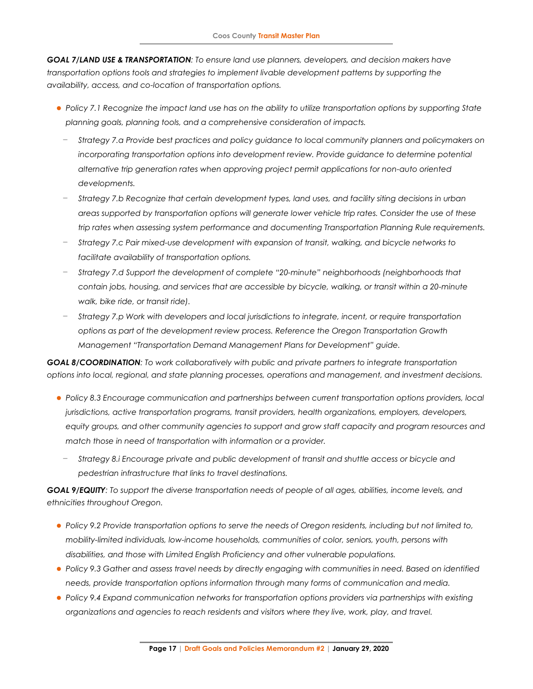*GOAL 7/LAND USE & TRANSPORTATION: To ensure land use planners, developers, and decision makers have transportation options tools and strategies to implement livable development patterns by supporting the availability, access, and co-location of transportation options.*

- ⚫ *Policy 7.1 Recognize the impact land use has on the ability to utilize transportation options by supporting State planning goals, planning tools, and a comprehensive consideration of impacts.*
	- − *Strategy 7.a Provide best practices and policy guidance to local community planners and policymakers on incorporating transportation options into development review. Provide guidance to determine potential alternative trip generation rates when approving project permit applications for non-auto oriented developments.*
	- − *Strategy 7.b Recognize that certain development types, land uses, and facility siting decisions in urban areas supported by transportation options will generate lower vehicle trip rates. Consider the use of these trip rates when assessing system performance and documenting Transportation Planning Rule requirements.*
	- − *Strategy 7.c Pair mixed-use development with expansion of transit, walking, and bicycle networks to facilitate availability of transportation options.*
	- − *Strategy 7.d Support the development of complete "20-minute" neighborhoods (neighborhoods that contain jobs, housing, and services that are accessible by bicycle, walking, or transit within a 20-minute walk, bike ride, or transit ride).*
	- − *Strategy 7.p Work with developers and local jurisdictions to integrate, incent, or require transportation options as part of the development review process. Reference the Oregon Transportation Growth Management "Transportation Demand Management Plans for Development" guide.*

*GOAL 8/COORDINATION: To work collaboratively with public and private partners to integrate transportation options into local, regional, and state planning processes, operations and management, and investment decisions.*

- ⚫ *Policy 8.3 Encourage communication and partnerships between current transportation options providers, local jurisdictions, active transportation programs, transit providers, health organizations, employers, developers, equity groups, and other community agencies to support and grow staff capacity and program resources and match those in need of transportation with information or a provider.*
	- − *Strategy 8.i Encourage private and public development of transit and shuttle access or bicycle and pedestrian infrastructure that links to travel destinations.*

*GOAL 9/EQUITY: To support the diverse transportation needs of people of all ages, abilities, income levels, and ethnicities throughout Oregon.*

- ⚫ *Policy 9.2 Provide transportation options to serve the needs of Oregon residents, including but not limited to, mobility-limited individuals, low-income households, communities of color, seniors, youth, persons with disabilities, and those with Limited English Proficiency and other vulnerable populations.*
- ⚫ *Policy 9.3 Gather and assess travel needs by directly engaging with communities in need. Based on identified needs, provide transportation options information through many forms of communication and media.*
- ⚫ *Policy 9.4 Expand communication networks for transportation options providers via partnerships with existing organizations and agencies to reach residents and visitors where they live, work, play, and travel.*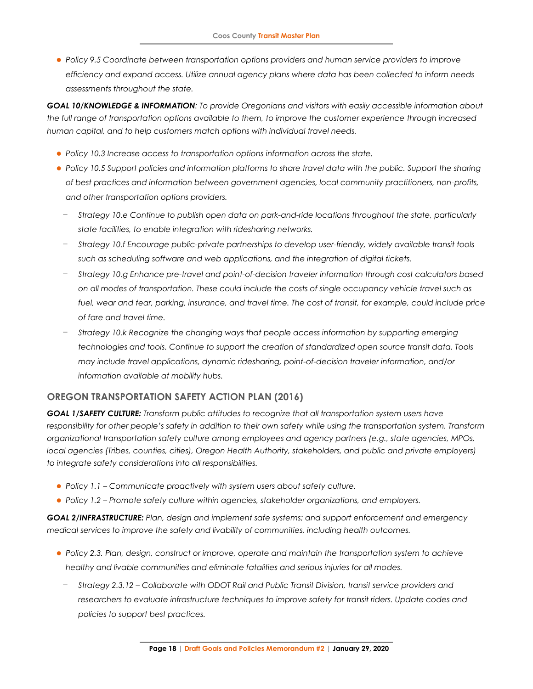⚫ *Policy 9.5 Coordinate between transportation options providers and human service providers to improve efficiency and expand access. Utilize annual agency plans where data has been collected to inform needs assessments throughout the state.*

*GOAL 10/KNOWLEDGE & INFORMATION: To provide Oregonians and visitors with easily accessible information about the full range of transportation options available to them, to improve the customer experience through increased human capital, and to help customers match options with individual travel needs.*

- ⚫ *Policy 10.3 Increase access to transportation options information across the state.*
- ⚫ *Policy 10.5 Support policies and information platforms to share travel data with the public. Support the sharing of best practices and information between government agencies, local community practitioners, non-profits, and other transportation options providers.*
	- − *Strategy 10.e Continue to publish open data on park-and-ride locations throughout the state, particularly state facilities, to enable integration with ridesharing networks.*
	- − *Strategy 10.f Encourage public-private partnerships to develop user-friendly, widely available transit tools such as scheduling software and web applications, and the integration of digital tickets.*
	- − *Strategy 10.g Enhance pre-travel and point-of-decision traveler information through cost calculators based on all modes of transportation. These could include the costs of single occupancy vehicle travel such as*  fuel, wear and tear, parking, insurance, and travel time. The cost of transit, for example, could include price *of fare and travel time.*
	- − *Strategy 10.k Recognize the changing ways that people access information by supporting emerging technologies and tools. Continue to support the creation of standardized open source transit data. Tools may include travel applications, dynamic ridesharing, point-of-decision traveler information, and/or information available at mobility hubs.*

# **OREGON TRANSPORTATION SAFETY ACTION PLAN (2016)**

*GOAL 1/SAFETY CULTURE: Transform public attitudes to recognize that all transportation system users have responsibility for other people's safety in addition to their own safety while using the transportation system. Transform organizational transportation safety culture among employees and agency partners (e.g., state agencies, MPOs, local agencies (Tribes, counties, cities), Oregon Health Authority, stakeholders, and public and private employers) to integrate safety considerations into all responsibilities.*

- ⚫ *Policy 1.1 – Communicate proactively with system users about safety culture.*
- ⚫ *Policy 1.2 – Promote safety culture within agencies, stakeholder organizations, and employers.*

*GOAL 2/INFRASTRUCTURE: Plan, design and implement safe systems; and support enforcement and emergency medical services to improve the safety and livability of communities, including health outcomes.*

- ⚫ *Policy 2.3. Plan, design, construct or improve, operate and maintain the transportation system to achieve healthy and livable communities and eliminate fatalities and serious injuries for all modes.* 
	- − *Strategy 2.3.12 – Collaborate with ODOT Rail and Public Transit Division, transit service providers and researchers to evaluate infrastructure techniques to improve safety for transit riders. Update codes and policies to support best practices.*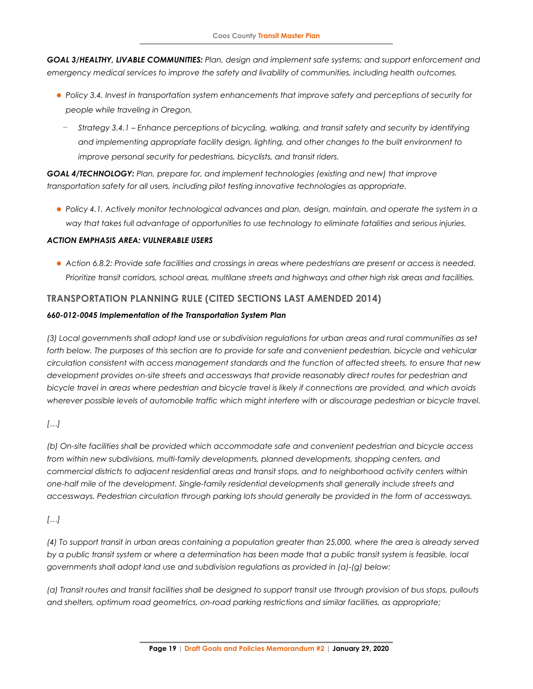*GOAL 3/HEALTHY, LIVABLE COMMUNITIES: Plan, design and implement safe systems; and support enforcement and emergency medical services to improve the safety and livability of communities, including health outcomes.*

- ⚫ *Policy 3.4. Invest in transportation system enhancements that improve safety and perceptions of security for people while traveling in Oregon.* 
	- − *Strategy 3.4.1 – Enhance perceptions of bicycling, walking, and transit safety and security by identifying and implementing appropriate facility design, lighting, and other changes to the built environment to improve personal security for pedestrians, bicyclists, and transit riders.*

*GOAL 4/TECHNOLOGY: Plan, prepare for, and implement technologies (existing and new) that improve transportation safety for all users, including pilot testing innovative technologies as appropriate.*

⚫ *Policy 4.1. Actively monitor technological advances and plan, design, maintain, and operate the system in a way that takes full advantage of opportunities to use technology to eliminate fatalities and serious injuries.*

### *ACTION EMPHASIS AREA: VULNERABLE USERS*

⚫ *Action 6.8.2: Provide safe facilities and crossings in areas where pedestrians are present or access is needed. Prioritize transit corridors, school areas, multilane streets and highways and other high risk areas and facilities.*

### **TRANSPORTATION PLANNING RULE (CITED SECTIONS LAST AMENDED 2014)**

#### *660-012-0045 Implementation of the Transportation System Plan*

(3) Local governments shall adopt land use or subdivision regulations for urban areas and rural communities as set forth below. The purposes of this section are to provide for safe and convenient pedestrian, bicycle and vehicular *circulation consistent with access management standards and the function of affected streets, to ensure that new development provides on-site streets and accessways that provide reasonably direct routes for pedestrian and* bicycle travel in areas where pedestrian and bicycle travel is likely if connections are provided, and which avoids wherever possible levels of automobile traffic which might interfere with or discourage pedestrian or bicycle travel.

### *[…]*

*(b) On-site facilities shall be provided which accommodate safe and convenient pedestrian and bicycle access from within new subdivisions, multi-family developments, planned developments, shopping centers, and commercial districts to adjacent residential areas and transit stops, and to neighborhood activity centers within one-half mile of the development. Single-family residential developments shall generally include streets and accessways. Pedestrian circulation through parking lots should generally be provided in the form of accessways.*

### *[…]*

(4) To support transit in urban areas containing a population greater than 25,000, where the area is already served by a public transit system or where a determination has been made that a public transit system is feasible, local *governments shall adopt land use and subdivision regulations as provided in (a)-(g) below:*

*(a) Transit routes and transit facilities shall be designed to support transit use through provision of bus stops, pullouts and shelters, optimum road geometrics, on-road parking restrictions and similar facilities, as appropriate;*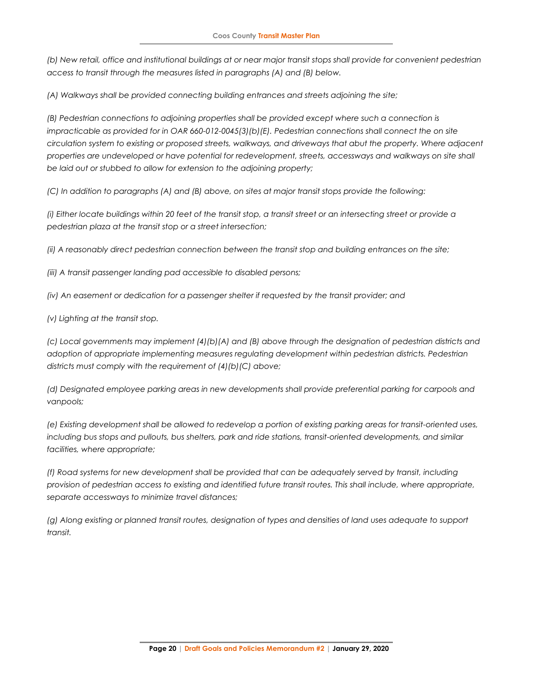*(b) New retail, office and institutional buildings at or near major transit stops shall provide for convenient pedestrian access to transit through the measures listed in paragraphs (A) and (B) below.*

*(A) Walkways shall be provided connecting building entrances and streets adjoining the site;*

*(B) Pedestrian connections to adjoining properties shall be provided except where such a connection is impracticable as provided for in OAR 660-012-0045(3)(b)(E). Pedestrian connections shall connect the on site circulation system to existing or proposed streets, walkways, and driveways that abut the property. Where adjacent properties are undeveloped or have potential for redevelopment, streets, accessways and walkways on site shall be laid out or stubbed to allow for extension to the adjoining property;*

*(C) In addition to paragraphs (A) and (B) above, on sites at major transit stops provide the following:*

*(i) Either locate buildings within 20 feet of the transit stop, a transit street or an intersecting street or provide a pedestrian plaza at the transit stop or a street intersection;*

*(ii) A reasonably direct pedestrian connection between the transit stop and building entrances on the site;*

*(iii) A transit passenger landing pad accessible to disabled persons;*

*(iv) An easement or dedication for a passenger shelter if requested by the transit provider; and*

*(v) Lighting at the transit stop.*

*(c) Local governments may implement (4)(b)(A) and (B) above through the designation of pedestrian districts and adoption of appropriate implementing measures regulating development within pedestrian districts. Pedestrian districts must comply with the requirement of (4)(b)(C) above;*

*(d) Designated employee parking areas in new developments shall provide preferential parking for carpools and vanpools;*

*(e) Existing development shall be allowed to redevelop a portion of existing parking areas for transit-oriented uses, including bus stops and pullouts, bus shelters, park and ride stations, transit-oriented developments, and similar facilities, where appropriate;*

*(f) Road systems for new development shall be provided that can be adequately served by transit, including provision of pedestrian access to existing and identified future transit routes. This shall include, where appropriate, separate accessways to minimize travel distances;*

*(g) Along existing or planned transit routes, designation of types and densities of land uses adequate to support transit.*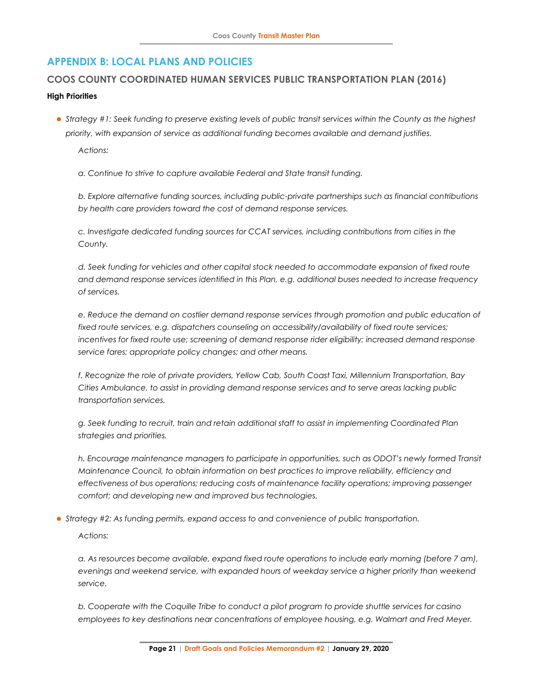# **APPENDIX B: LOCAL PLANS AND POLICIES**

### **COOS COUNTY COORDINATED HUMAN SERVICES PUBLIC TRANSPORTATION PLAN (2016)**

#### **High Priorities**

⚫ *Strategy #1: Seek funding to preserve existing levels of public transit services within the County as the highest priority, with expansion of service as additional funding becomes available and demand justifies.* 

*Actions:* 

*a. Continue to strive to capture available Federal and State transit funding.* 

*b. Explore alternative funding sources, including public-private partnerships such as financial contributions by health care providers toward the cost of demand response services.* 

*c. Investigate dedicated funding sources for CCAT services, including contributions from cities in the County.* 

*d. Seek funding for vehicles and other capital stock needed to accommodate expansion of fixed route and demand response services identified in this Plan, e.g. additional buses needed to increase frequency of services.* 

e. Reduce the demand on costlier demand response services through promotion and public education of *fixed route services, e.g. dispatchers counseling on accessibility/availability of fixed route services; incentives for fixed route use; screening of demand response rider eligibility; increased demand response service fares; appropriate policy changes; and other means.* 

*f. Recognize the role of private providers, Yellow Cab, South Coast Taxi, Millennium Transportation, Bay Cities Ambulance, to assist in providing demand response services and to serve areas lacking public transportation services.* 

*g. Seek funding to recruit, train and retain additional staff to assist in implementing Coordinated Plan strategies and priorities.* 

*h. Encourage maintenance managers to participate in opportunities, such as ODOT's newly formed Transit Maintenance Council, to obtain information on best practices to improve reliability, efficiency and effectiveness of bus operations; reducing costs of maintenance facility operations; improving passenger comfort; and developing new and improved bus technologies.* 

⚫ *Strategy #2: As funding permits, expand access to and convenience of public transportation.* 

*Actions:* 

*a. As resources become available, expand fixed route operations to include early morning (before 7 am), evenings and weekend service, with expanded hours of weekday service a higher priority than weekend service.* 

*b. Cooperate with the Coquille Tribe to conduct a pilot program to provide shuttle services for casino employees to key destinations near concentrations of employee housing, e.g. Walmart and Fred Meyer.*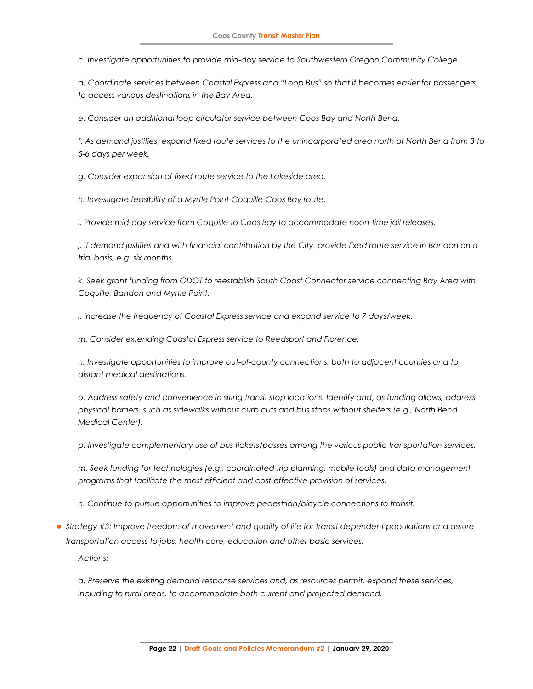*c. Investigate opportunities to provide mid-day service to Southwestern Oregon Community College.* 

*d. Coordinate services between Coastal Express and "Loop Bus" so that it becomes easier for passengers to access various destinations in the Bay Area.* 

*e. Consider an additional loop circulator service between Coos Bay and North Bend.* 

*f. As demand justifies, expand fixed route services to the unincorporated area north of North Bend from 3 to 5-6 days per week.* 

*g. Consider expansion of fixed route service to the Lakeside area.* 

*h. Investigate feasibility of a Myrtle Point-Coquille-Coos Bay route.* 

*i. Provide mid-day service from Coquille to Coos Bay to accommodate noon-time jail releases.* 

*j. If demand justifies and with financial contribution by the City, provide fixed route service in Bandon on a trial basis, e.g. six months.* 

*k. Seek grant funding from ODOT to reestablish South Coast Connector service connecting Bay Area with Coquille, Bandon and Myrtle Point.* 

*l. Increase the frequency of Coastal Express service and expand service to 7 days/week.* 

*m. Consider extending Coastal Express service to Reedsport and Florence.* 

*n. Investigate opportunities to improve out-of-county connections, both to adjacent counties and to distant medical destinations.* 

*o. Address safety and convenience in siting transit stop locations. Identify and, as funding allows, address physical barriers, such as sidewalks without curb cuts and bus stops without shelters (e.g., North Bend Medical Center).* 

*p. Investigate complementary use of bus tickets/passes among the various public transportation services.* 

*m. Seek funding for technologies (e.g., coordinated trip planning, mobile tools) and data management programs that facilitate the most efficient and cost-effective provision of services.* 

*n. Continue to pursue opportunities to improve pedestrian/bicycle connections to transit.* 

⚫ *Strategy #3: Improve freedom of movement and quality of life for transit dependent populations and assure transportation access to jobs, health care, education and other basic services.*

*Actions:* 

*a. Preserve the existing demand response services and, as resources permit, expand these services, including to rural areas, to accommodate both current and projected demand.*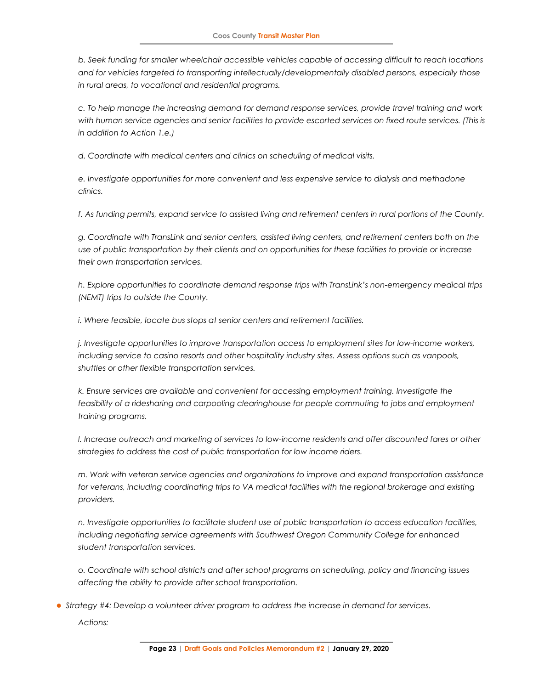*b. Seek funding for smaller wheelchair accessible vehicles capable of accessing difficult to reach locations and for vehicles targeted to transporting intellectually/developmentally disabled persons, especially those in rural areas, to vocational and residential programs.* 

*c. To help manage the increasing demand for demand response services, provide travel training and work*  with human service agencies and senior facilities to provide escorted services on fixed route services. (This is *in addition to Action 1.e.)* 

*d. Coordinate with medical centers and clinics on scheduling of medical visits.* 

*e. Investigate opportunities for more convenient and less expensive service to dialysis and methadone clinics.* 

*f. As funding permits, expand service to assisted living and retirement centers in rural portions of the County.* 

*g. Coordinate with TransLink and senior centers, assisted living centers, and retirement centers both on the use of public transportation by their clients and on opportunities for these facilities to provide or increase their own transportation services.* 

*h. Explore opportunities to coordinate demand response trips with TransLink's non-emergency medical trips (NEMT) trips to outside the County.* 

*i. Where feasible, locate bus stops at senior centers and retirement facilities.* 

*j. Investigate opportunities to improve transportation access to employment sites for low-income workers, including service to casino resorts and other hospitality industry sites. Assess options such as vanpools, shuttles or other flexible transportation services.* 

*k. Ensure services are available and convenient for accessing employment training. Investigate the feasibility of a ridesharing and carpooling clearinghouse for people commuting to jobs and employment training programs.* 

*l. Increase outreach and marketing of services to low-income residents and offer discounted fares or other strategies to address the cost of public transportation for low income riders.* 

*m. Work with veteran service agencies and organizations to improve and expand transportation assistance*  for veterans, including coordinating trips to VA medical facilities with the regional brokerage and existing *providers.* 

*n. Investigate opportunities to facilitate student use of public transportation to access education facilities, including negotiating service agreements with Southwest Oregon Community College for enhanced student transportation services.* 

*o. Coordinate with school districts and after school programs on scheduling, policy and financing issues affecting the ability to provide after school transportation.* 

⚫ *Strategy #4: Develop a volunteer driver program to address the increase in demand for services.*

*Actions:*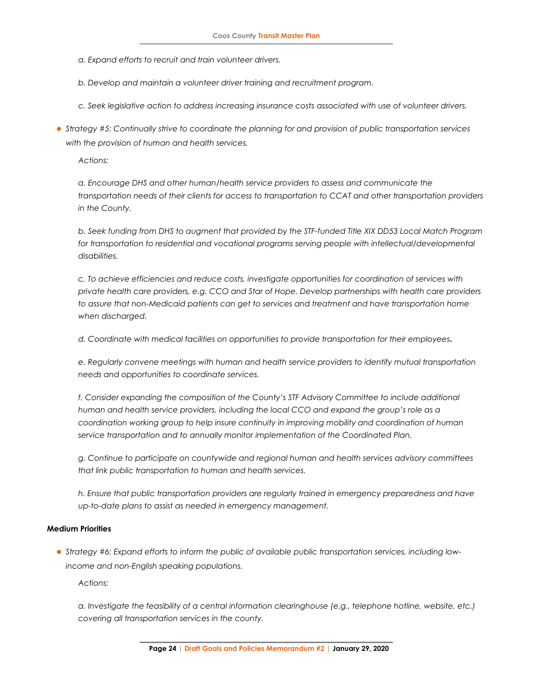*a. Expand efforts to recruit and train volunteer drivers.* 

*b. Develop and maintain a volunteer driver training and recruitment program.* 

*c. Seek legislative action to address increasing insurance costs associated with use of volunteer drivers.* 

⚫ *Strategy #5: Continually strive to coordinate the planning for and provision of public transportation services with the provision of human and health services.*

*Actions:* 

*a. Encourage DHS and other human/health service providers to assess and communicate the transportation needs of their clients for access to transportation to CCAT and other transportation providers in the County.* 

*b. Seek funding from DHS to augment that provided by the STF-funded Title XIX DD53 Local Match Program*  for transportation to residential and vocational programs serving people with intellectual/developmental *disabilities.* 

*c. To achieve efficiencies and reduce costs, investigate opportunities for coordination of services with private health care providers, e.g. CCO and Star of Hope. Develop partnerships with health care providers*  to assure that non-Medicaid patients can get to services and treatment and have transportation home *when discharged.* 

*d. Coordinate with medical facilities on opportunities to provide transportation for their employees.* 

*e. Regularly convene meetings with human and health service providers to identify mutual transportation needs and opportunities to coordinate services.* 

f. Consider expanding the composition of the County's STF Advisory Committee to include additional *human and health service providers, including the local CCO and expand the group's role as a coordination working group to help insure continuity in improving mobility and coordination of human*  service transportation and to annually monitor implementation of the Coordinated Plan.

*g. Continue to participate on countywide and regional human and health services advisory committees that link public transportation to human and health services.* 

*h. Ensure that public transportation providers are regularly trained in emergency preparedness and have up-to-date plans to assist as needed in emergency management.* 

#### **Medium Priorities**

⚫ *Strategy #6: Expand efforts to inform the public of available public transportation services, including lowincome and non-English speaking populations.*

*Actions:* 

*a. Investigate the feasibility of a central information clearinghouse (e.g., telephone hotline, website, etc.) covering all transportation services in the county.*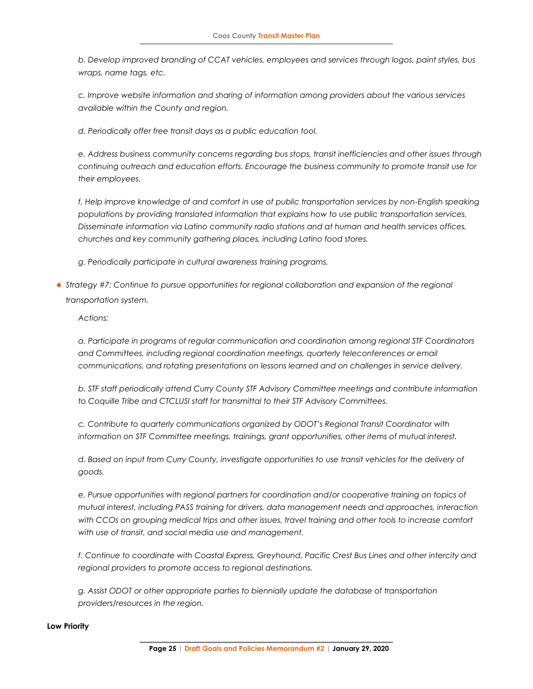*b. Develop improved branding of CCAT vehicles, employees and services through logos, paint styles, bus wraps, name tags, etc.* 

*c. Improve website information and sharing of information among providers about the various services available within the County and region.* 

*d. Periodically offer free transit days as a public education tool.* 

*e. Address business community concerns regarding bus stops, transit inefficiencies and other issues through continuing outreach and education efforts. Encourage the business community to promote transit use for their employees.* 

f. Help improve knowledge of and comfort in use of public transportation services by non-English speaking *populations by providing translated information that explains how to use public transportation services. Disseminate information via Latino community radio stations and at human and health services offices, churches and key community gathering places, including Latino food stores.* 

*g. Periodically participate in cultural awareness training programs.* 

⚫ *Strategy #7: Continue to pursue opportunities for regional collaboration and expansion of the regional transportation system.*

*Actions:* 

*a. Participate in programs of regular communication and coordination among regional STF Coordinators and Committees, including regional coordination meetings, quarterly teleconferences or email communications, and rotating presentations on lessons learned and on challenges in service delivery.* 

*b. STF staff periodically attend Curry County STF Advisory Committee meetings and contribute information*  to Coquille Tribe and CTCLUSI staff for transmittal to their STF Advisory Committees.

*c. Contribute to quarterly communications organized by ODOT's Regional Transit Coordinator with information on STF Committee meetings, trainings, grant opportunities, other items of mutual interest.* 

*d. Based on input from Curry County, investigate opportunities to use transit vehicles for the delivery of goods.* 

*e. Pursue opportunities with regional partners for coordination and/or cooperative training on topics of mutual interest, including PASS training for drivers, data management needs and approaches, interaction*  with CCOs on grouping medical trips and other issues, travel training and other tools to increase comfort *with use of transit, and social media use and management.* 

*f. Continue to coordinate with Coastal Express, Greyhound, Pacific Crest Bus Lines and other intercity and regional providers to promote access to regional destinations.* 

*g. Assist ODOT or other appropriate parties to biennially update the database of transportation providers/resources in the region.* 

#### **Low Priority**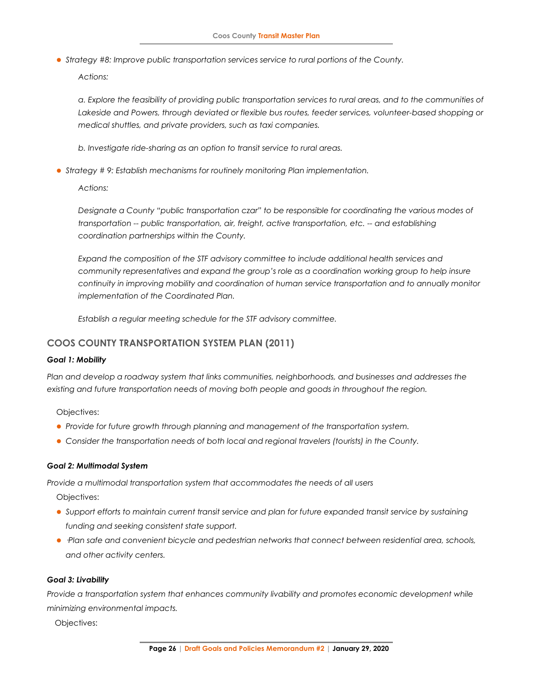⚫ *Strategy #8: Improve public transportation services service to rural portions of the County.*

*Actions:* 

*a. Explore the feasibility of providing public transportation services to rural areas, and to the communities of Lakeside and Powers, through deviated or flexible bus routes, feeder services, volunteer-based shopping or medical shuttles, and private providers, such as taxi companies.* 

*b. Investigate ride-sharing as an option to transit service to rural areas.* 

⚫ *Strategy # 9: Establish mechanisms for routinely monitoring Plan implementation.* 

*Actions:* 

*Designate a County "public transportation czar" to be responsible for coordinating the various modes of transportation -- public transportation, air, freight, active transportation, etc. -- and establishing coordination partnerships within the County.* 

*Expand the composition of the STF advisory committee to include additional health services and community representatives and expand the group's role as a coordination working group to help insure continuity in improving mobility and coordination of human service transportation and to annually monitor implementation of the Coordinated Plan.* 

*Establish a regular meeting schedule for the STF advisory committee.* 

### **COOS COUNTY TRANSPORTATION SYSTEM PLAN (2011)**

#### *Goal 1: Mobility*

*Plan and develop a roadway system that links communities, neighborhoods, and businesses and addresses the existing and future transportation needs of moving both people and goods in throughout the region.*

Objectives:

- ⚫ *Provide for future growth through planning and management of the transportation system.*
- ⚫ *Consider the transportation needs of both local and regional travelers (tourists) in the County.*

#### *Goal 2: Multimodal System*

*Provide a multimodal transportation system that accommodates the needs of all users*

Objectives:

- ⚫ *Support efforts to maintain current transit service and plan for future expanded transit service by sustaining funding and seeking consistent state support.*
- ⚫ *·Plan safe and convenient bicycle and pedestrian networks that connect between residential area, schools, and other activity centers.*

#### *Goal 3: Livability*

*Provide a transportation system that enhances community livability and promotes economic development while minimizing environmental impacts.*

Objectives: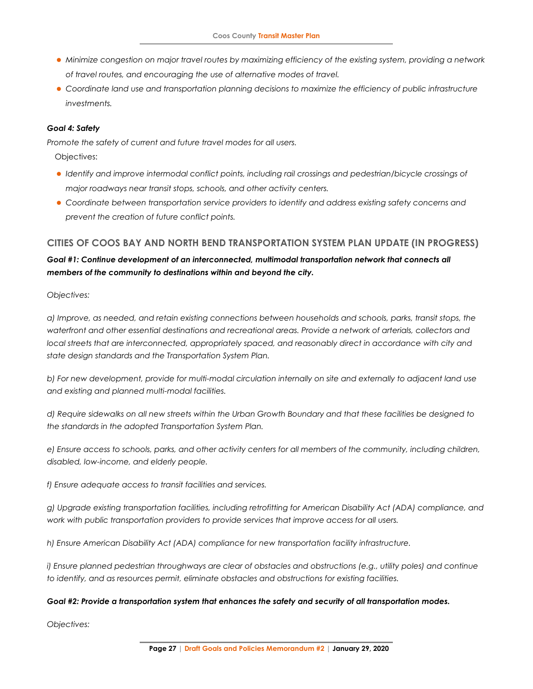- ⚫ *Minimize congestion on major travel routes by maximizing efficiency of the existing system, providing a network of travel routes, and encouraging the use of alternative modes of travel.*
- ⚫ *Coordinate land use and transportation planning decisions to maximize the efficiency of public infrastructure investments.*

#### *Goal 4: Safety*

*Promote the safety of current and future travel modes for all users.*

Objectives:

- ⚫ *Identify and improve intermodal conflict points, including rail crossings and pedestrian/bicycle crossings of major roadways near transit stops, schools, and other activity centers.*
- ⚫ *Coordinate between transportation service providers to identify and address existing safety concerns and prevent the creation of future conflict points.*

### **CITIES OF COOS BAY AND NORTH BEND TRANSPORTATION SYSTEM PLAN UPDATE (IN PROGRESS)**

### *Goal #1: Continue development of an interconnected, multimodal transportation network that connects all members of the community to destinations within and beyond the city.*

#### *Objectives:*

*a) Improve, as needed, and retain existing connections between households and schools, parks, transit stops, the*  waterfront and other essential destinations and recreational areas. Provide a network of arterials, collectors and *local streets that are interconnected, appropriately spaced, and reasonably direct in accordance with city and state design standards and the Transportation System Plan.* 

*b) For new development, provide for multi-modal circulation internally on site and externally to adjacent land use and existing and planned multi-modal facilities.* 

*d) Require sidewalks on all new streets within the Urban Growth Boundary and that these facilities be designed to the standards in the adopted Transportation System Plan.* 

*e) Ensure access to schools, parks, and other activity centers for all members of the community, including children, disabled, low-income, and elderly people.* 

*f) Ensure adequate access to transit facilities and services.* 

*g) Upgrade existing transportation facilities, including retrofitting for American Disability Act (ADA) compliance, and work with public transportation providers to provide services that improve access for all users.* 

*h) Ensure American Disability Act (ADA) compliance for new transportation facility infrastructure.* 

*i) Ensure planned pedestrian throughways are clear of obstacles and obstructions (e.g., utility poles) and continue to identify, and as resources permit, eliminate obstacles and obstructions for existing facilities.* 

#### *Goal #2: Provide a transportation system that enhances the safety and security of all transportation modes.*

*Objectives:*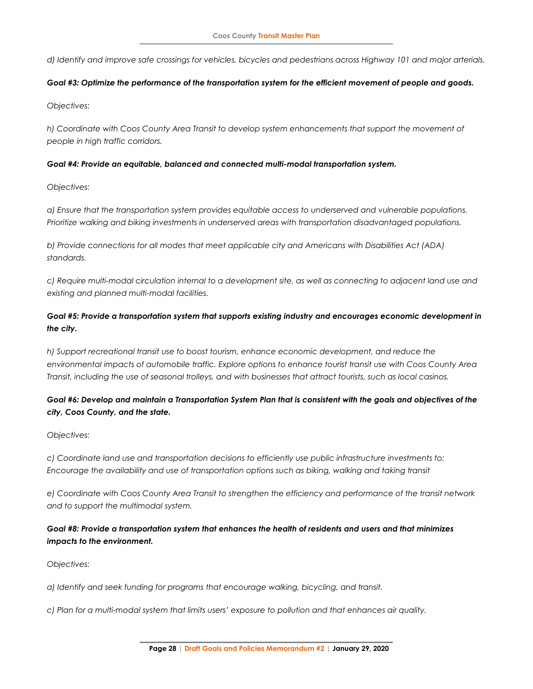*d) Identify and improve safe crossings for vehicles, bicycles and pedestrians across Highway 101 and major arterials.* 

#### *Goal #3: Optimize the performance of the transportation system for the efficient movement of people and goods.*

*Objectives:* 

*h) Coordinate with Coos County Area Transit to develop system enhancements that support the movement of people in high traffic corridors.* 

#### *Goal #4: Provide an equitable, balanced and connected multi-modal transportation system.*

*Objectives:* 

*a) Ensure that the transportation system provides equitable access to underserved and vulnerable populations. Prioritize walking and biking investments in underserved areas with transportation disadvantaged populations.* 

*b) Provide connections for all modes that meet applicable city and Americans with Disabilities Act (ADA) standards.* 

*c) Require multi-modal circulation internal to a development site, as well as connecting to adjacent land use and existing and planned multi-modal facilities.* 

### *Goal #5: Provide a transportation system that supports existing industry and encourages economic development in the city.*

*h) Support recreational transit use to boost tourism, enhance economic development, and reduce the environmental impacts of automobile traffic. Explore options to enhance tourist transit use with Coos County Area Transit, including the use of seasonal trolleys, and with businesses that attract tourists, such as local casinos.* 

### *Goal #6: Develop and maintain a Transportation System Plan that is consistent with the goals and objectives of the city, Coos County, and the state.*

### *Objectives:*

*c) Coordinate land use and transportation decisions to efficiently use public infrastructure investments to: Encourage the availability and use of transportation options such as biking, walking and taking transit* 

*e) Coordinate with Coos County Area Transit to strengthen the efficiency and performance of the transit network and to support the multimodal system.* 

### *Goal #8: Provide a transportation system that enhances the health of residents and users and that minimizes impacts to the environment.*

### *Objectives:*

*a) Identify and seek funding for programs that encourage walking, bicycling, and transit.* 

*c) Plan for a multi-modal system that limits users' exposure to pollution and that enhances air quality.*